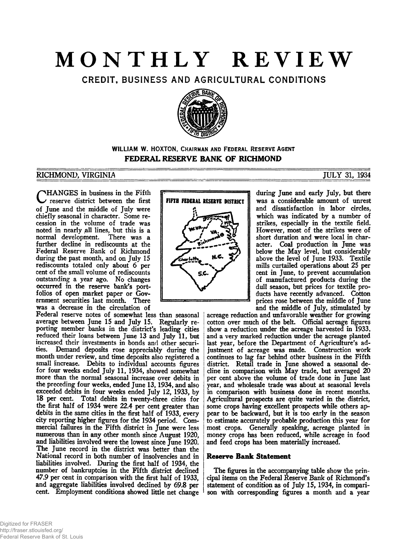# **MONTHLY REVIEW**

CREDIT, BUSINESS AND AGRICULTURAL CONDITIONS



# **WILLIAM W. HOXTON, CHAIRMAN AND FEDERAL RESERVE AGENT FEDERAL RESERVE BANK OF RICHMOND**

# RICHMOND, V I R G I N I A \_\_\_\_\_\_\_\_\_\_\_\_\_\_\_\_\_\_\_\_\_\_\_\_\_\_\_\_\_\_\_\_\_\_\_\_\_\_\_\_\_\_\_\_\_\_\_\_\_\_\_ JULY 31, 1934

CHANGES in business in the Fifth<br>
reserve district between the first reserve district between the first of June and the middle of July were chiefly seasonal in character. Some recession in the volume of trade was noted in nearly ^all lines, but this is a normal development. There was a further decline in rediscounts at the Federal Reserve Bank of Richmond during the past month, and on July 15 rediscounts totaled only about 6 per cent of the small volume of rediscounts outstanding a year ago. No changes occurred in the reserve bank's portfolios of open market paper or Government securities last month. There was a decrease in the circulation of

Federal reserve notes of somewhat less than seasonal average between June 15 and July 15. Regularly reporting member banks in the district's leading cities reduced their loans between June 13 and July 11, but increased their investments in bonds and other securities. Demand deposits rose appreciably during the month under review, and time deposits also registered a small (increase. Debits to individual accounts figures for four weeks ended July 11, 1934, showed somewhat more than the normal seasonal increase over debits in the preceding four weeks, ended June 13,1934, and also exceeded debits in four weeks ended July 12, 1933, by 18 per cent. Total debits in twenty-three cities for the first half of 1934 were 22.4 per cent greater than debits in the same cities in the first half of 1933, every city reporting higher figures for the 1934 period. Commercial failures in the Fifth district in June were less numerous than in any other month since August 1920, and liabilities involved were the lowest since June 1920. The June record in the district was better than the National record in both number of insolvencies and in liabilities involved. During the first half of 1934, the number of bankruptcies in the Fifth district declined 47.9 per cent in comparison with the first half of 1933, and aggregate liabilities involved declined by 69.8 per cent. Employment conditions showed little net change



during June and early July, but there was a considerable amount of unrest and dissatisfaction in labor circles, which was indicated by a number of strikes, especially in the textile field. However, most of the strikes were of short duration and were local in character. Coal production in June was below the May level, but considerably above the level of June 1933. Textile mills curtailed operations about 25 per cent in June, to prevent accumulation of manufactured products during the dull season, but prices for textile products have recently advanced. Cotton prices rose between the middle of June and the middle of July, stimulated by

acreage reduction and unfavorable weather for growing cotton over much of the belt. Official acreage figures show a reduction under the acreage harvested in 1933, and a very marked reduction under the acreage planted last year, before the Department of Agriculture's adjustment of acreage was made. Construction work continues to lag far behind other business in the Fifth district. Retail trade in June showed a seasonal decline in comparison with May trade, but averaged 20 per cent above the volume of trade done in June last year, and wholesale trade was about at seasonal levels in comparison with business done in recent months. Agricultural prospects are quite varied in the district, some crops having excellent prospects while others appear to be backward, but it is too early in the season to estimate accurately probable production this year for most crops. Generally speaking, acreage planted in money crops has been reduced, while acreage in food and feed crops has been materially increased.

## **Reserve Bank Statement**

The figures in the accompanying table show the principal items on the Federal Reserve Bank of Richmond's statement of condition as of July 15, 1934, in comparison with corresponding figures a month and a year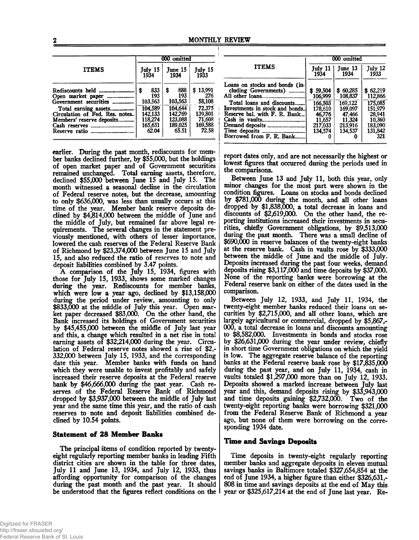|                                                                                     | 000 omitted |                               |    |                               |  |                             |  |
|-------------------------------------------------------------------------------------|-------------|-------------------------------|----|-------------------------------|--|-----------------------------|--|
| <b>ITEMS</b>                                                                        |             | July 15<br>1934               |    | June 15<br>1934               |  | July 15<br>1933             |  |
| Open market paper<br>Government securities                                          | \$          | 833<br>193<br>103,563         | \$ | 888<br>193<br>103.563         |  | \$13,991<br>276<br>58,108   |  |
| Total earning assets<br>Circulation of Fed. Res. notes<br>Members' reserve deposits |             | 104.589<br>142,133<br>118,274 |    | 104.644<br>142.769<br>123.088 |  | 72,375<br>139.801<br>71,608 |  |
| Reserve ratio                                                                       |             | 165,651<br>62.04              |    | 189,025<br>65.51              |  | 169,588<br>72.58            |  |

earlier. During the past month, rediscounts for member banks declined further, by \$55,000, but the holdings of open market paper and of Government securities remained unchanged. Total earning assets, therefore, declined \$55,000 between June 15 and July 15. The month witnessed a seasonal decline in the circulation of Federal reserve notes, but the decrease, amounting to only \$636,000, was less than usually occurs at this time of the year. Member bank reserve deposits declined by \$4,814,000 between the middle of June and the middle of July, but remained far above legal requirements. The several changes in the statement previously mentioned, with others of lesser importance, lowered the cash reserves of the Federal Reserve Bank of Richmond by \$23,374,000 between June 15 and July 15, and also reduced the ratio of reserves to note and deposit liabilities combined by 3.47 points.

A comparison of the July 15, 1934, figures with those for July 15, 1933, shows some marked changes during the year. Rediscounts for member banks, which were low a year ago, declined by \$13,158,000 during the period under review, amounting to only \$833,000 at the middle of July this year. Open market paper decreased \$83,000. On the other hand, the Bank increased its holdings of Government securities by \$45,455,000 between the middle of July last year and this, a change which resulted in a net rise in total earning assets of \$32,214,000 during the year. Circulation of Federal reserve notes showed a rise of \$2,- 332,000 between July 15, 1933, and the corresponding date this year. Member banks with funds on hand which they were unable to invest profitably and safely increased their reserve deposits at the Federal reserve bank by \$46,666,000 during the past year. Cash reserves of the Federal Reserve Bank of Richmond dropped by \$3,937,000 between the middle of July last year and the same time this year, and the ratio of cash reserves to note and deposit liabilities combined declined by 10.54 points.

## **Statement of 28 Member Banks**

The principal items of condition reported by twentyeight regularly reporting member banks in leading Fifth district cities are shown in the table for three dates, July 11 and June 13, 1934, and July 12, 1933, thus affording opportunity for comparison of the changes during the past month and the past year. It should be understood that the figures reflect conditions on the

|                                                                                                                                                                                                      | 000 omitted                                                                         |                                                                                          |                                                                                            |  |  |
|------------------------------------------------------------------------------------------------------------------------------------------------------------------------------------------------------|-------------------------------------------------------------------------------------|------------------------------------------------------------------------------------------|--------------------------------------------------------------------------------------------|--|--|
| <b>ITEMS</b>                                                                                                                                                                                         | July 11<br>1934                                                                     | June 13<br>1934                                                                          | July 12<br>1933                                                                            |  |  |
| Loans on stocks and bonds (in-<br>cluding Governments)<br>Total loans and discounts<br>Investments in stock and bonds<br>Reserve bal. with F. R. Bank<br>Demand deposits<br>Borrowed from F. R. Bank | \$59,504<br>106,999<br>166,503<br>178.610<br>46,776<br>11,657<br>217,033<br>134.574 | \$60,285<br>108,837<br>169,122<br>169,097<br>47,466<br>11,324<br>213,916<br>134.537<br>0 | \$62,219<br>112,866<br>175,085<br>151.979<br>28.941<br>10,360<br>183,090<br>131,842<br>321 |  |  |

report dates only, and are not necessarily the highest or lowest figures that occurred during the periods used in the comparisons.

Between June 13 and July 11, both this year, only minor changes for the most part were shown in the condition figures. Loans on stocks and bonds declined by \$781,000 during the month, and all other loans dropped by \$1,838,000, a total decrease in loans and discounts of \$2,619,000. On the other hand, the reporting institutions increased their investments in securities, chiefly Government obligations, by \$9,513,000 during the past month. There was a small decline of \$690,000 in reserve balances of the twenty-eight banks at the reserve bank. Cash in vaults rose by \$333,000 between the middle of June and the middle of July. Deposits increased during the past four weeks, demand deposits rising \$3,117,000 and time deposits by \$37,000. None of the reporting banks were borrowing at the Federal reserve bank on either of the dates used in the comparison.

Between July 12, 1933, and July 11, 1934, the twenty-eight member banks reduced their loans on securities by \$2,715,000, and all other loans, which are largely agricultural or commercial, dropped by \$5,867,- 000, a total decrease in loans and discounts amounting to \$8,582,000. Investments in bonds and stocks rose by \$26,631,000 during the year under review, chiefly in short time Government obligations on which the yield is low. The aggregate reserve balance of the reporting banks at the Federal reserve bank rose by \$17,835,000 during the past year, and on July 11, 1934, cash in vaults totaled \$1,297,000 more than on July 12, 1933. Deposits showed a marked increase between July last year and this, demand deposits rising by \$33,943,000 and time deposits gaining \$2,732,000. Two of the twenty-eight reporting banks were borrowing \$321,000 from the Federal Reserve Bank of Richmond a year ago, but none of them were borrowing on the corresponding 1934 date.

## **Time and Savings Deposits**

Time deposits in twenty-eight regularly reporting member banks and aggregate deposits in eleven mutual savings banks in Baltimore totaled \$327,654,854 at the end of June 1934, a higher figure than either \$326,631,- 808 in time and savings deposits at the end of May this year or \$325,617,214 at the end of June last year. Re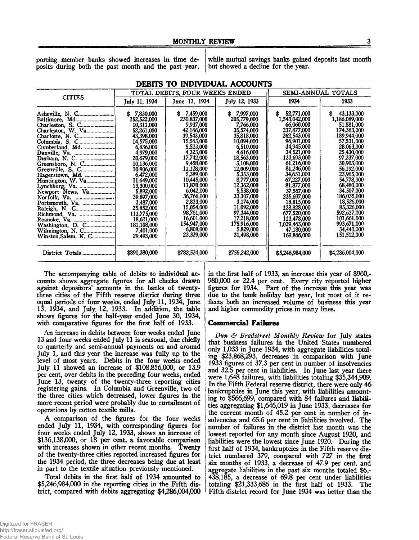posits during both the past month and the past year,

porting member banks showed increases in time de- while mutual savings banks gained deposits last month posits during both the past month and the past year.

|                                                        |                                                                                                                                                                                                                                                                                    | TOTAL DEBITS, FOUR WEEKS ENDED                                                                                                                                                                                                                                                         | SEMI-ANNUAL TOTALS                                                                                                                                                                                                                                                                 |                                                                                                                                                                                                                                                                                                      |                                                                                                                                                                                                                                                                                                    |
|--------------------------------------------------------|------------------------------------------------------------------------------------------------------------------------------------------------------------------------------------------------------------------------------------------------------------------------------------|----------------------------------------------------------------------------------------------------------------------------------------------------------------------------------------------------------------------------------------------------------------------------------------|------------------------------------------------------------------------------------------------------------------------------------------------------------------------------------------------------------------------------------------------------------------------------------|------------------------------------------------------------------------------------------------------------------------------------------------------------------------------------------------------------------------------------------------------------------------------------------------------|----------------------------------------------------------------------------------------------------------------------------------------------------------------------------------------------------------------------------------------------------------------------------------------------------|
| <b>CITIES</b>                                          | July 11, 1934                                                                                                                                                                                                                                                                      | June 13, 1934                                                                                                                                                                                                                                                                          | July 12, 1933                                                                                                                                                                                                                                                                      | 1934                                                                                                                                                                                                                                                                                                 | 1933                                                                                                                                                                                                                                                                                               |
| Durham, N. C.<br>Greensboro, N. C.<br>Newport News, Va | \$7,830,000<br>252,522,000<br>10,311,000<br>52,261,000<br>43,398,000<br>14,575,000<br>6,836,000<br>4,979,000<br>20,679,000<br>10,136,000<br>10,906,000<br>6,472,000<br>11,649,000<br>13,300,000<br>5,892,000<br>39,897,000<br>3,487,000<br>25,852,000<br>113,775,000<br>18,621,000 | \$7,459,000<br>230,837,000<br>9,937,000<br>42,166,000<br>39,543,000<br>15,563,000<br>5,523,000<br>4,323,000<br>17,742,000<br>9,458,000<br>11,128,000<br>5,389,000<br>10,445,000<br>11,870,000<br>6.042,000<br>36,766,000<br><b>2,833,000</b><br>15,054,000<br>98,761,000<br>16,601,000 | 7,997,000<br>S.<br>205,779,000<br>7.766.000<br>35,574,000<br>35,818,000<br>10,094,000<br>6,510,000<br>4,616,000<br>18,563,000<br>3,108,000<br>12,009,000<br>5,353,000<br>8,777,000<br>12,362,000<br>5,538,000<br>33,307,000<br>3,174,000<br>11.092.000<br>97,344,000<br>17,218,000 | 52,771,000<br>s.<br>1,543,042,000<br>66,060,000<br>237,877,000<br>262,543,000<br>96,901,000<br>34,945,000<br>34,521,000<br>133,693,000<br>61,216,000<br>81,246,000<br>34,651,000<br>67,227,000<br>81,877,000<br>37,567,000<br>235,697,000<br>18,815,000<br>128,828,000<br>677,520,000<br>113,478,000 | 43.133,000<br>\$<br>1,186,089,000<br>51,581,000<br>174,363,000<br>189,944,000<br>57,531,000<br>28,063,000<br>25,430,000<br>97,237,000<br>30,903,000<br>56,192,000<br>23,965,000<br>54,778,000<br>68,480,000<br>34,507,000<br>186,035,000<br>18,526,000<br>85,326,000<br>592,637,000<br>101,661,000 |
| Wilmington, N. C<br>Winston, Salem, N. C               | 181,108,000<br>7,401,000<br>29,493,000<br>\$891,380,000                                                                                                                                                                                                                            | 154,947,000<br>6,808,000<br>23,329,000<br>\$782,524,000                                                                                                                                                                                                                                | 175,916,000<br>5,829,000<br>31,498,000<br>\$755,242,000                                                                                                                                                                                                                            | 1,029,463,000<br>47,180,000<br>169,866,000<br>\$5,246,984,000                                                                                                                                                                                                                                        | 993,671,000<br>34,440,000<br>151,512,000<br>\$4,286,004,000                                                                                                                                                                                                                                        |

**DEBITS TO INDIVIDUAL ACCOUNTS**

The accompanying table of debits to individual accounts shows aggregate figures for all checks drawn against depositors' accounts in the banks of twentythree cities of the Fifth reserve district during three equal periods of four weeks, ended July 11, 1934, June 13, 1934, and July 12, 1933. In addition, the table shows figures for the half-year ended June 30, 1934, with comparative figures for the first half of 1933.

An increase in debits between four weeks ended June 13 and four weeks ended July 11 is seasonal, due chiefly to quarterly and semi-annual payments on and around July 1, and this year the increase was fully up to the level of most years. Debits in the four weeks ended July 11 showed an increase of \$108,856,000, or 13.9 per cent, over debits in the preceding four weeks, ended June 13, twenty of the twenty-three reporting cities registering gains. In Columbia and Greenville, two of the three cities which decreased, lower figures in the more recent period were probably due to curtailment of operations by cotton textile mills.

A comparison of the figures for the four weeks ended July 11, 1934, with corresponding figures for four weeks ended July 12, 1933, shows an increase of \$136,138,000, or 18 per cent, a favorable comparison with increases shown in other recent months. Twenty of the twenty-three cities reported increased figures for the 1934 period, the three decreases being due at least in part to the textile situation previously mentioned.

Total debits in the first half of 1934 amounted to \$5,246,984,000 in the reporting cities in the Fifth district, compared with debits aggregating \$4,286,004,000

in the first half of 1933, an increase this year of \$960,- 980,000 or 22.4 per cent. Every city reported higher figures for 1934. Part of the increase this year was due to the bank holiday last year, but most of it reflects both an increased volume of business this year and higher commodity prices in many lines.

#### **Commercial Failures**

*Dun & Bradstreet Monthly Review* for July states that business failures in the United States numbered only 1,033 in June 1934, with aggregate liabilities totaling \$23,868,293, decreases in comparison with June 1933 figures of 37.3 per cent in number of insolvencies and 32.5 per cent in liabilities. In June last year there were 1,648 failures, with liabilities totaling \$35,344,909. In the Fifth Federal reserve district, there were only 46 bankruptcies in June this year, with liabilities amounting to \$566,699, compared with 84 failures and liabilities aggregating \$1,646,019 in June 1933, decreases for the current month of 45.2 per cent in number of insolvencies and 65.6 per cent in liabilities involved. The number of failures in the district last month was the lowest reported for any month since August 1920, and liabilities were the lowest since June 1920. During the first half of 1934, bankruptcies in the Fifth reserve district numbered 379, compared with 727 in the first six months of 1933, a decrease of 47.9 per cent, and aggregate liabilities in the past six months totaled \$6- 438,185, a decrease of 69.8 per cent under liabilities totaling \$21,333,686 in the first half of 1933. The Fifth district record for June 1934 was better than the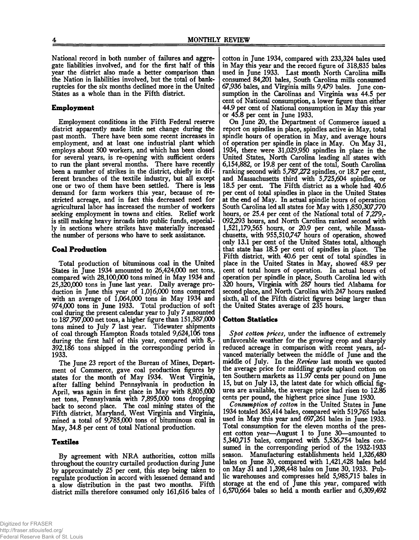National record in both number of failures and aggregate liabilities involved, and for the first half of this year the district also made a better comparison than the Nation in liabilities involved, but the total of bankruptcies for the six months declined more in the United States as a whole than in the Fifth district.

# **Employment**

Employment conditions in the Fifth Federal reserve district apparently made little net change during the past month. There have been some recent increases in employment, and at least one industrial plant which employs about 500 workers, and which has been closed for several years, is re-opening with sufficient orders to run the plant several months. There have recently been a number of strikes in the district, chiefly in different branches of the textile industry, but all except one or two of them have been settled. There is less demand for farm workers this year, because of restricted acreage, and in fact this decreased need for agricultural labor has increased the number of workers seeking employment in towns and cities. Relief work is still making heavy inroads into public funds, especially in sections where strikes have materially increased the number of persons who have to seek assistance.

# **Coal Production**

Total production of bituminous coal in the United States in June 1934 amounted to 26,424,000 net tons, compared with 28,100,000 tons mined in May 1934 and 25.320.000 tons in June last year. Daily average production in June this year of 1,016,000 tons compared with an average of 1,064,000 tons in May 1934 and 974.000 tons in June 1933. Total production of soft coal during the present calendar year to July 7 amounted to 187,797,000 net tons, a higher figure than 151,587,000 tons mined to July 7 last year. Tidewater shipments of coal through Hampton Roads totaled 9,624,106 tons during the first half of this year, compared with 8,- 392,186 tons shipped in the corresponding period in 1933.

The June 23 report of the Bureau of Mines, Department of Commerce, gave coal production figures by states for the month of May 1934. West Virginia, after falling behind Pennsylvania in production in April, was again in first place in May with 8,805,000 net tons, Pennsylvania with 7,895,000 tons dropping back to second place. The coal mining states of the Fifth district, Maryland, West Virginia and Virginia, mined a total of 9,785,000 tons of bituminous coal in May, 34.8 per cent of total National production.

# **Textiles**

By agreement with NRA authorities, cotton mills throughout the country curtailed production during June by approximately 25 per cent, this step being taken to regulate production in accord with lessened demand and a slow distribution in the past two months. Fifth district mills therefore consumed only 161,616 bales of cotton in June 1934, compared with 233,324 bales used in May this year and the record figure of 318,835 bales used in June 1933. Last month North Carolina mills consumed 84,201 bales, South Carolina mills consumed 67,936 bales, and Virginia mills 9,479 bales. June consumption in the Carolinas and Virginia was 44.5 per cent of National consumption, a lower figure than either 44.9 per cent of National consumption in May this year or 45.8 per cent in June 1933.

On June 20, the Department of Commerce issued a report on spindles in place, spindles active in May, total spindle hours of operation in May, and average hours of operation per spindle in place in May. On May 31, 1934, there were 31,029,950 spindles in place in the United States, North Carolina leading all states with 6,154,882, or 19.8 per cent of the total, South Carolina ranking second with 5,787,272 spindles, or 18.7 per cent, and Massachusetts third with 5,725,604 spindles, or 18.5 per cent. The Fifth district as a whole had 40.6 per cent of total spindles in place in the United States at the end of May. In actual spindle hours of operation South Carolina led all states for May with 1,850,307,770 hours, or 25.4 per cent of the National total of 7,279,- 092,293 hours, and North Carolina ranked second with 1,521,179,565 hours, or 20.9 per cent, while Massachusetts, with 955,510,747 hours of operation, showed only 13.1 per cent of the United States total, although that state has 18.5 per cent of spindles in place. The Fifth district, with 40.6 per cent of total spindles in place in the United States in May, showed 48.9 per cent of total hours of operation. In actual hours of operation per spindle in place, South Carolina led with 320 hours, Virginia with 287 hours tied Alabama for second place, and North Carolina with 247 hours ranked sixth, all of the Fifth district figures being larger than the United States average of 235 hours.

## **Cotton Statistics**

*Spot cotton prices,* under the influence of extremely unfavorable weather for the growing crop and sharply reduced acreage in comparison with recent years, advanced materially between the middle of June and the middle of July. In the *Review* last month we quoted the average price for middling grade upland cotton on ten Southern markets as 11.97 cents per pound on June 15, but on July 13, the latest date for which official figures are available, the average price had risen to 12.86 cents per pound, the highest price since June 1930.

*Consumption of cotton* in the United States in June 1934 totaled 363,414 bales, compared with 519,765 bales used in May this year and 697,261 bales in June 1933. Total consumption for the eleven months of the present cotton year—August 1 to June 30—amounted to 5,340,715 bales, compared with 5,536,754 bales consumed in the corresponding period of the 1932-1933 season. Manufacturing establishments held 1,326,480 bales on June 30, compared with 1,421,428 bales held on May 31 and 1,398,448 bales on June 30, 1933. Public warehouses and compresses held 5,985,715 bales in storage at the end of June this year, compared with 6,570,664 bales so held a month earlier and 6,309,492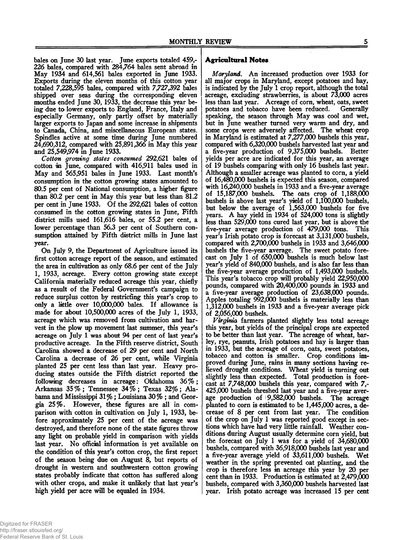bales on June 30 last year. June exports totaled 459,- 226 bales, compared with 284,764 bales sent abroad in May 1934 and 614,561 bales exported in June 1933. Exports during the eleven months of this cotton year totaled 7,228,595 bales, compared with 7,727,392 bales shipped over seas during the corresponding eleven months ended June 30, 1933, the decrease this year being due to lower exports to England, France, Italy and especially Germany, only partly offset by materially larger exports to Japan and some increase in shipments to Canada, China, and miscellaneous European states. Spindles active at some time during June numbered 24,690,312, compared with 25,891,366 in May this year and 25,549,974 in June 1933.

*Cotton growing states consumed* 292,621 bales of cotton in June, compared with 416,911 bales used in May and 565,951 bales in June 1933. Last month's consumption in the cotton growing states amounted to 80.5 per cent of National consumption, a higher figure than 80.2 per cent in May this year but less than 81.2 per cent in June 1933. Of the 292,621 bales of cotton consumed in the cotton growing states in June, Fifth district mills used 161,616 bales, or 55.2 per cent, a lower percentage than 56.3 per cent of Southern consumption attained by Fifth district mills in June last year.

On July 9, the Department of Agriculture issued its first cotton acreage report of the season, and estimated the area in cultivation as only 68.6 per cent of the July 1, 1933, acreage. Every cotton growing state except California materially reduced acreage this year, chiefly as a result of the Federal Government's campaign to reduce surplus cotton by restricting this year's crop to only a little over 10,000,000 bales. If allowance is made for about 10,500,000 acres of the July 1, 1933, acreage which was removed from cultivation and harvest in the plow up movement last summer, this year's acreage on July 1 was about 94 per cent of last year's productive acreage. In the Fifth reserve district, South Carolina showed a decrease of 29 per cent and North Carolina a decrease of 26 per cent, while Virginia planted 25 per cent less than last year. Heavy producing states outside the Fifth district reported the following decreases in acreage: Oklahoma 36% ; Arkansas 35% ; Tennessee 34% ; Texas 32%; Alabama and Mississippi 31%; Louisiana 30% ; and Georgia 25%. However, these figures are all in comparison with cotton in cultivation on July 1, 1933, before approximately 25 per cent of the acreage was destroyed, and therefore none of the state figures throw any light on probable yield in comparison with yields last year. No official information is yet available on the condition of this year's cotton crop, the first report of the season being due on August 8, but reports of drought in western and southwestern cotton growing states probably indicate that cotton has suffered along with other crops, and make it unlikely that last year's high yield per acre will be equaled in 1934.

## **Agricultural Notes**

*Maryland*. An increased production over 1933 for all major crops in Maryland, except potatoes and hay, is indicated by the July 1 crop report, although the total acreage, excluding strawberries, is about 73,000 acres less than last year. Acreage of corn, wheat, oats, sweet potatoes and tobacco have been reduced. speaking, the season through May was cool and wet, but in June weather turned very warm and dry, and some crops were adversely affected. The wheat crop in Maryland is estimated at 7,277,000 bushels this year, compared with 6,320,000 bushels harvested last year and a five-year production of 9,375,000 bushels. Better yields per acre are indicated for this year, an average of 19 bushels comparing with only 16 bushels last year. Although a smaller acreage was planted to corn, a yield of 16,480,000 bushels is expected this season, compared with 16,240,000 bushels in 1933 and a five-year average of 15,187,000 bushels. The oats crop of 1,188,000 bushels is above last year's yield of 1,100,000 bushels, but below the average of 1,563,000 bushels for five years. A hay yield in 1934 of 524,000 tons is slightly less than 529,000 tons cured last year, but is above the five-year average production of 479,000 tons. This year's Irish potato crop is forecast at 3,131,000 bushels, compared with 2,700,000 bushels in 1933 and 3,646,000 bushels the five-year average. The sweet potato forecast on July 1 of 650,000 bushels is much below last year's yield of 840,000 bushels, and is also far less than the five-year average production of 1,493,000 bushels. This year's tobacco crop will probably yield 22,950,000 pounds, compared with 20,400,000 pounds in 1933 and a five-year average production of 23,638,000 pounds. Apples totaling 992,000 bushels is materially less than 1.312.000 bushels in 1933 and a five-year average pick of 2,056,000 bushels.

*Virginia* farmers planted slightly less total acreage this year, but yields of the principal crops are expected to be better than last year. The acreage of wheat, barley, rye, peanuts, Irish potatoes and hay is larger than in 1933, but the acreage of corn, oats, sweet potatoes, tobacco and cotton is smaller. Crop conditions improved during June, rains in many sections having relieved drought conditions. Wheat yield is turning out slightly less than expected. Total production is forecast at 7,748,000 bushels this year, compared with 7,- 425,000 bushels threshed last year and a five-year aver-<br>age production of  $\frac{19,582,000}{2}$  bushels. The acreage age production of  $9,582,000$  bushels. planted to corn is estimated to be 1,445,000 acres, a decrease of 8 per cent from last year. The condition of the crop on July 1 was reported good except in sections which have had very little rainfall. Weather conditions during August usually determine corn yield, but the forecast on July 1 was for a yield of 34,680,000 bushels, compared with 36,918,000 bushels last year and a five-year average yield of 33,611,000 bushels. Wet weather in the spring prevented oat planting, and the crop is therefore less in acreage this year by 20 per cent than in 1933. Production is estimated at  $2,479,000$ bushels, compared with 3,360,000 bushels harvested last year. Irish potato acreage was increased 15 per cent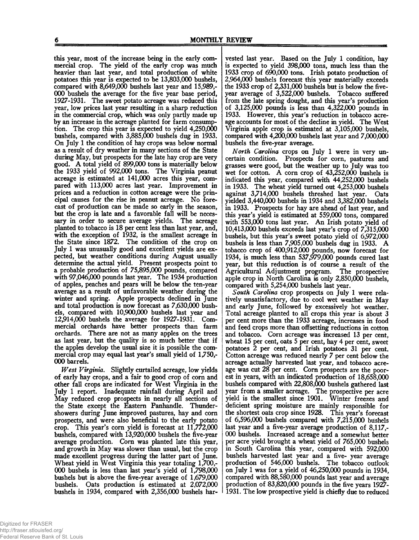this year, most of the increase being in the early commercial crop. The yield of the early crop was much heavier than last year, and total production of white potatoes this year is expected to be 13,803,000 bushels, compared with 8,649,000 bushels last year and 15,989,- 000 bushels the average for the five year base period, 1927-1931. The sweet potato acreage was reduced this year, low prices last year resulting in a sharp reduction in the commercial crop, which was only partly made up by an increase in the acreage planted for farm consumption. The crop this year is expected to yield 4,250,000 bushels, compared with 3,885,000 bushels dug in 1933. On July 1 the condition of hay crops was below normal as a result of dry weather in many sections of the State during May, but prospects for the late hay crop are very good. A total yield of 899,000 tons is materially below the 1933 yield of 992,000 tons. The Virginia peanut acreage is estimated at 141,000 acres this year, compared with 113,000 acres last year. Improvement in prices and a reduction in cotton acreage were the principal causes for the rise in peanut acreage. No forecast of production can be made so early in the season, but the crop is late and a favorable fall will be necessary in order to secure average yields. The acreage planted to tobacco is 18 per cent less than last year, and, with the exception of 1932, is the smallest acreage in the State since 1872. The condition of the crop on July 1 was unusually good and excellent yields are expected, but weather conditions during August usually determine the actual yield. Present prospects point to a probable production of 75,895,000 pounds, compared with 97,046,000 pounds last year. The 1934 production of apples, peaches and pears will be below the ten-year average as a result of unfavorable weather during the winter and spring. Apple prospects declined in June and total production is now forecast as 7,630,000 bushels, compared with 10,900,000 bushels last year and 12,914,000 bushels the average for 1927-1931. Commercial orchards have better prospects than farm orchards. There are not as many apples on the trees as last year, but the quality is so much better that if the apples develop the usual size it is possible the commercial crop may equal last year's small yield of 1,750,- 000 barrels.

*West Virginia*. Slightly curtailed acreage, low yields of early hay crops, and a fair to good crop of corn and other fall crops are indicated for West Virginia in the July 1 report. Inadequate rainfall during April and May reduced crop prospects in nearly all sections of the State except the Eastern Panhandle. Thundershowers during June improved pastures, hay and corn prospects, and were also beneficial to the early potato crop. This year's corn yield is forecast at 11,772,000 bushels, compared with 13,920,000 bushels the five-year average production. Corn was planted late this year, and growth in May was slower than usual, but the crop made excellent progress during the latter part of June. Wheat yield in West Virginia this year totaling 1,700,- 000 bushels is less than last year's yield of 1,798,000 bushels but is above the five-year average of 1,679,000 bushels. Oats production is estimated at 2,072,000 bushels in 1934, compared with 2,356,000 bushels har-

vested last year. Based on the July 1 condition, hay is expected to yield 398,000 tons, much less than the 1933 crop of 690,000 tons. Irish potato production of 2.964.000 bushels forecast this year materially exceeds the 1933 crop of 2,331,000 bushels but is below the fiveyear average of 3,522,000 bushels. Tobacco suffered from the late spring dought, and this year's production of 3,125,000 pounds is less than 4,322,000 pounds in 1933. However, this year's reduction in tobacco acreage accounts for most of the decline in yield. The West Virginia apple crop is estimated at 3,105,000 bushels, compared with 4,200,000 bushels last year and 7,000,000 bushels the five-year average.

*North Carolina* crops on July 1 were in very uncertain condition. Prospects for corn, pastures and grasses were good, but the weather up to July was too wet for cotton. A corn crop of  $43,252,000$  bushels is indicated this year, compared with 44,252,000 bushels in 1933. The wheat yield turned out 4,253,000 bushels against 3,714,000 bushels threshed last year. Oats yielded 3,440,000 bushels in 1934 and 3,382,000 bushels in 1933. Prospects for hay are ahead of last year, and this year's yield is estimated at 559,000 tons, compared with 553,000 tons last year. An Irish potato yield of 10.413.000 bushels exceeds last year's crop of 7,315,000 bushels, but this year's sweet potato yield of 6,972,000 bushels is less than 7,905,000 bushels dug in 1933. A tobacco crop of 400,912,000 pounds, now forecast for 1934, is much less than 537,979,000 pounds cured last year, but this reduction is of course a result of the Agricultural Adjustment program. The prospective apple crop in North Carolina is only 2,850,000 bushels, compared with 5,254,000 bushels last year.

*South Carolina* crop prospects on July 1 were relatively unsatisfactory, due to cool wet weather in May and early June, followed by excessively hot weather. Total acreage planted to all crops this year is about 3 per cent more than the 1933 acreage, increases in food and feed crops more than offsetting reductions in cotton and tobacco. Corn acreage was increased 13 per cent, wheat 15 per cent, oats 5 per cent, hay 4 per cent, sweet potatoes 2 per cent, and Irish potatoes 31 per cent. Cotton acreage was reduced nearly 7 per cent below the acreage actually harvested last year, and tobacco acreage was cut 28 per cent. Corn prospects are the poorest in years, with an indicated production of 18,658,000 bushels compared with 22,808,000 bushels gathered last year from a smaller acreage. The prospective per acre yield is the smallest since 1901. Winter freezes and deficient spring moisture are mainly responsible for the shortest oats crop since 1928. This year's forecast of 6,596,000 bushels compared with 7,215,000 bushels last year and a five-year average production of 8,117,- 000 bushels. Increased acreage and a somewhat better per acre yield brought a wheat yield of 765,000 bushels in South Carolina this year, compared with 592,000 bushels harvested last year and a five- year average production of 546,000 bushels. The tobacco outlook on July 1 was for a yield of 46,250,000 pounds in 1934, compared with 88,580,000 pounds last year and average production of 83,820,000 pounds in the five years 1927- 1931. The low prospective yield is chiefly due to reduced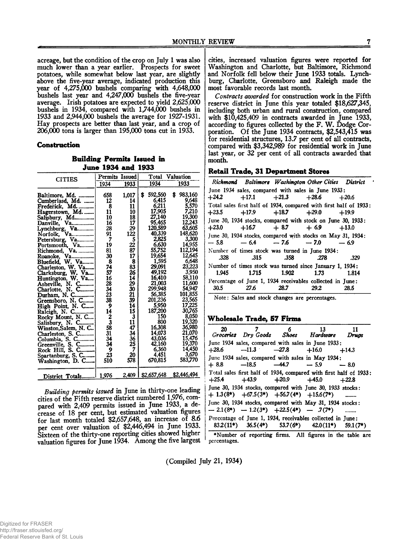acreage, but the condition of the crop on July 1 was also much lower than a year earlier. Prospects for sweet potatoes, while somewhat below last year, are slightly above the five-year average, indicated production this year of 4,275,000 bushels comparing with 4,648,000 bushels last year and 4,247,000 bushels the five-year average. Irish potatoes are expected to yield 2,625,000 bushels in 1934, compared with 1,744,000 bushels in 1933 and 2,944,000 bushels the average for 1927-1931. Hay prospects are better than last year, and a crop of 206,000 tons is larger than 195,000 tons cut in 1933.

#### **Construction**

**Building Permits Issued in June 1934 and 1933**

*Building permits issued* in June in thirty-one leading cities of the Fifth reserve district numbered 1,976, compared with 2,409 permits issued in June 1933, a decrease of 18 per cent, but estimated valuation figures for last month totaled \$2,657,648, an increase of 8.6 per cent over valuation of \$2,446,494 in June 1933. Sixteen of the thirty-one reporting cities showed higher valuation figures for June 1934. Among the five largest

cities, increased valuation figures were reported for Washington and Charlotte, but Baltimore, Richmond and Norfolk fell below their June 1933 totals. Lynchburg, Charlotte, Greensboro and Raleigh made the most favorable records last month.

*Contracts awarded* for construction work in the Fifth reserve district in June this year totaled \$18,627,345, including both urban and rural construction, compared with \$10,425,409 in contracts awarded in June 1933, according to figures collected by the F. W. Dodge Corporation. Of the June 1934 contracts, \$2,543,415 was for residential structures, 13.7 per cent of all contracts, compared with \$3,342,989 for residential work in June last year, or 32 per cent of all contracts awarded that month.

#### **Retail Trade, 31 Department Stores**

|                                                    |      |                  | Richmond Baltimore Washington Other Cities District                                                          |       |  |
|----------------------------------------------------|------|------------------|--------------------------------------------------------------------------------------------------------------|-------|--|
| June 1934 sales, compared with sales in June 1933: |      |                  |                                                                                                              |       |  |
|                                                    |      |                  | $+24.2$ $+17.1$ $+21.3$ $+28.6$ $+20.6$                                                                      |       |  |
|                                                    |      |                  | Total sales first half of 1934, compared with first half of 1933:<br>$+23.5$ $+17.9$ $+18.7$ $+29.0$ $+19.9$ |       |  |
|                                                    |      |                  | June 30, 1934 stocks, compared with stock on June 30, 1933:<br>$+23.0$ $+16.7$ $+8.7$ $+6.9$ $+13.0$         |       |  |
| $-5.8$                                             |      |                  | June 30, 1934 stocks, compared with stocks on May 31, 1934:<br>$-6.4 -7.6 -7.0 -6.9$                         |       |  |
| .328                                               |      | $.315$ $.358$    | Number of times stock was turned in June 1934:<br>.278                                                       | .329  |  |
| 1.945                                              |      | 1.715 1.902 1.73 | Number of times stock was turned since January 1, 1934:                                                      | 1.814 |  |
| 30.5                                               | 27.6 | 28.7             | Percentage of June 1, 1934 receivables collected in June:<br>29.2                                            | 28.5  |  |

Note: Sales and stock changes are percentages.

#### **W holesale Trader 57 Firms.**

| 20      | 7<br>Groceries Dry Goods Shoes Hardware                                                                      | - 6   | 13      | Druas      |
|---------|--------------------------------------------------------------------------------------------------------------|-------|---------|------------|
| $+28.6$ | June 1934 sales, compared with sales in June 1933;<br>$-11.3 -27.8$                                          |       | $+16.0$ | $+14.3$    |
| $+8.8$  | June 1934 sales, compared with sales in May 1934:<br>$-18.5$                                                 | —44.7 | $-5.9$  | $-8.0$     |
| $+25.4$ | Total sales first half of 1934, compared with first half of 1933:<br>$+43.9$ $+20.9$ $+45.0$                 |       |         | $+22.8$    |
|         | June 30, 1934 stocks, compared with June 30, 1933 stocks:<br>$+ 1.3(8*)$ $+67.5(3*)$ $+56.7(4*)$ $+15.6(7*)$ |       |         |            |
|         | June 30, 1934 stocks, compared with May 31, 1934 stocks:<br>$-2.1(8^*)$ $-1.2(3^*)$ $+22.5(4^*)$ $-7(7^*)$   |       |         |            |
|         | Percentage of June 1, 1934, receivables collected in June:<br>$83.2(11*)$ $36.5(4*)$ $53.7(6*)$ $42.0(11*)$  |       |         | $59.1(7*)$ |
|         | *Number of reporting firms. All figures in the table are                                                     |       |         |            |

(Compiled July 21, 1934)

percentages.